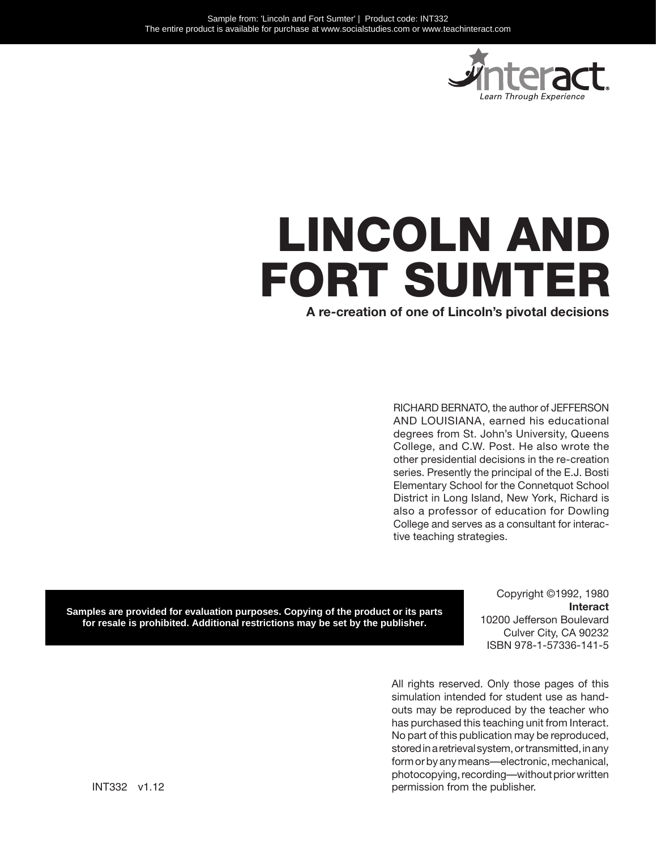

# LINCOLN AND FORT SUMTER

**A re-creation of one of Lincoln's pivotal decisions**

RICHARD BERNATO, the author of JEFFERSON AND LOUISIANA, earned his educational degrees from St. John's University, Queens College, and C.W. Post. He also wrote the other presidential decisions in the re-creation series. Presently the principal of the E.J. Bosti Elementary School for the Connetquot School District in Long Island, New York, Richard is also a professor of education for Dowling College and serves as a consultant for interactive teaching strategies.

Samples are provided for evaluation purposes. Copying of the product or its parts for resale is prohibited. Additional restrictions may be set by the publisher.

Copyright ©1992, 1980 **Interact** 10200 Jefferson Boulevard Culver City, CA 90232 ISBN 978-1-57336-141-5

All rights reserved. Only those pages of this simulation intended for student use as handouts may be reproduced by the teacher who has purchased this teaching unit from Interact. No part of this publication may be reproduced, stored in a retrieval system, or transmitted, in any form or by any means—electronic, mechanical, photocopying, recording—without prior written permission from the publisher.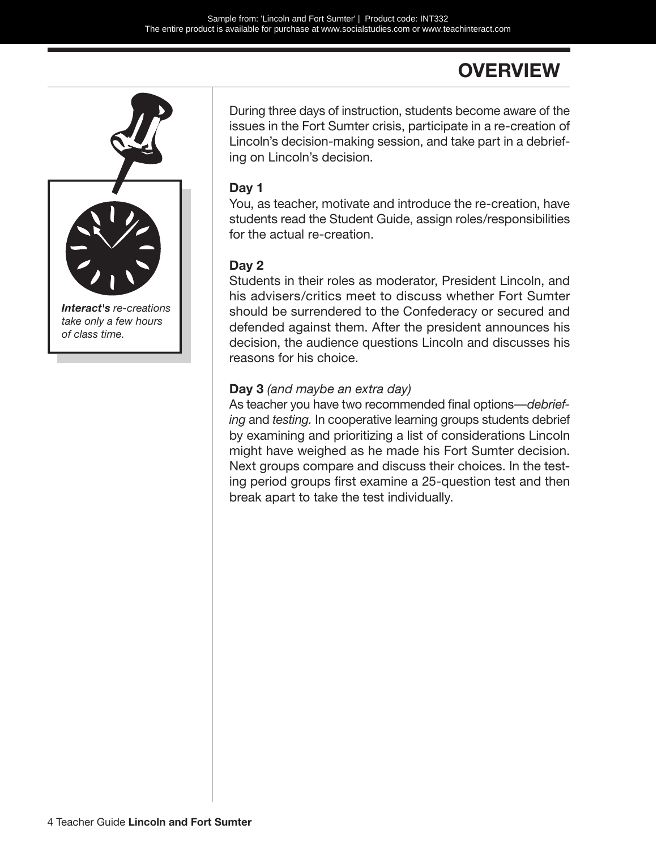### **OVERVIEW**



During three days of instruction, students become aware of the issues in the Fort Sumter crisis, participate in a re-creation of Lincoln's decision-making session, and take part in a debriefing on Lincoln's decision.

#### **Day 1**

You, as teacher, motivate and introduce the re-creation, have students read the Student Guide, assign roles/responsibilities for the actual re-creation.

#### **Day 2**

Students in their roles as moderator, President Lincoln, and his advisers/critics meet to discuss whether Fort Sumter should be surrendered to the Confederacy or secured and defended against them. After the president announces his decision, the audience questions Lincoln and discusses his reasons for his choice.

#### **Day 3** *(and maybe an extra day)*

As teacher you have two recommended final options—*debriefing* and *testing.* In cooperative learning groups students debrief by examining and prioritizing a list of considerations Lincoln might have weighed as he made his Fort Sumter decision. Next groups compare and discuss their choices. In the testing period groups first examine a 25-question test and then break apart to take the test individually.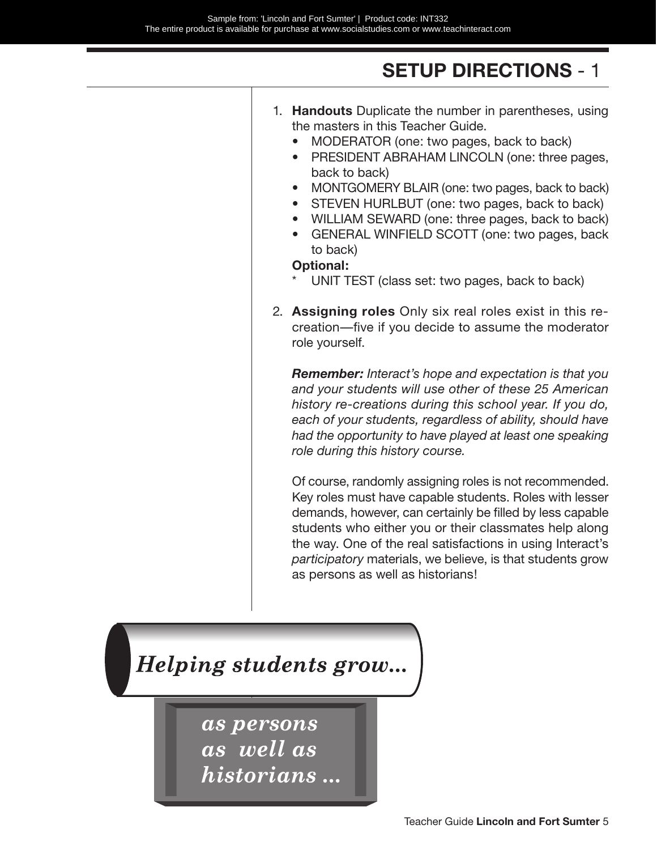### **SETUP DIRECTIONS** - 1

| 1. Handouts Duplicate the number in parentheses, using<br>the masters in this Teacher Guide.<br>MODERATOR (one: two pages, back to back)                                                                                                                                                                                                                                                                   |
|------------------------------------------------------------------------------------------------------------------------------------------------------------------------------------------------------------------------------------------------------------------------------------------------------------------------------------------------------------------------------------------------------------|
| PRESIDENT ABRAHAM LINCOLN (one: three pages,<br>$\bullet$<br>back to back)<br>MONTGOMERY BLAIR (one: two pages, back to back)<br>$\bullet$                                                                                                                                                                                                                                                                 |
| STEVEN HURLBUT (one: two pages, back to back)<br>$\bullet$<br>WILLIAM SEWARD (one: three pages, back to back)<br>$\bullet$<br>GENERAL WINFIELD SCOTT (one: two pages, back<br>$\bullet$<br>to back)<br><b>Optional:</b>                                                                                                                                                                                    |
| UNIT TEST (class set: two pages, back to back)                                                                                                                                                                                                                                                                                                                                                             |
| 2. Assigning roles Only six real roles exist in this re-<br>creation—five if you decide to assume the moderator<br>role yourself.                                                                                                                                                                                                                                                                          |
| <b>Remember:</b> Interact's hope and expectation is that you<br>and your students will use other of these 25 American<br>history re-creations during this school year. If you do,<br>each of your students, regardless of ability, should have<br>had the opportunity to have played at least one speaking<br>role during this history course.                                                             |
| Of course, randomly assigning roles is not recommended.<br>Key roles must have capable students. Roles with lesser<br>demands, however, can certainly be filled by less capable<br>students who either you or their classmates help along<br>the way. One of the real satisfactions in using Interact's<br>participatory materials, we believe, is that students grow<br>as persons as well as historians! |

Helping students grow...

as persons as well as historians...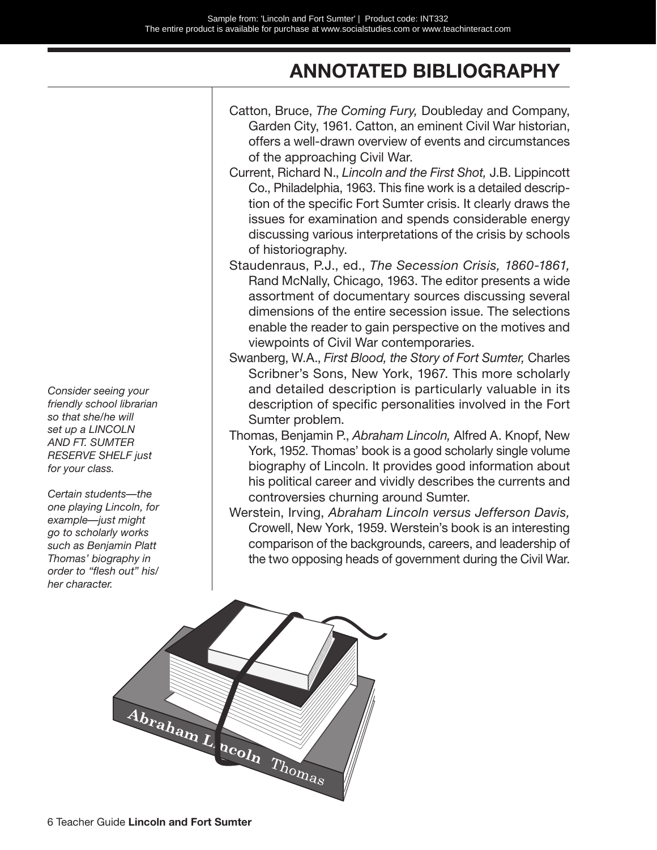### **ANNOTATED BIBLIOGRAPHY**

Catton, Bruce, *The Coming Fury,* Doubleday and Company, Garden City, 1961. Catton, an eminent Civil War historian, offers a well-drawn overview of events and circumstances of the approaching Civil War. Current, Richard N., *Lincoln and the First Shot,* J.B. Lippincott Co., Philadelphia, 1963. This fine work is a detailed description of the specific Fort Sumter crisis. It clearly draws the issues for examination and spends considerable energy discussing various interpretations of the crisis by schools of historiography. Staudenraus, P.J., ed., *The Secession Crisis, 1860-1861,*  Rand McNally, Chicago, 1963. The editor presents a wide assortment of documentary sources discussing several dimensions of the entire secession issue. The selections enable the reader to gain perspective on the motives and viewpoints of Civil War contemporaries. Swanberg, W.A., *First Blood, the Story of Fort Sumter,* Charles Scribner's Sons, New York, 1967. This more scholarly and detailed description is particularly valuable in its description of specific personalities involved in the Fort Sumter problem. Thomas, Benjamin P., *Abraham Lincoln,* Alfred A. Knopf, New York, 1952. Thomas' book is a good scholarly single volume biography of Lincoln. It provides good information about his political career and vividly describes the currents and controversies churning around Sumter. Werstein, Irving, *Abraham Lincoln versus Jefferson Davis,*  Crowell, New York, 1959. Werstein's book is an interesting comparison of the backgrounds, careers, and leadership of the two opposing heads of government during the Civil War.



*Consider seeing your friendly school librarian so that she/he will set up a LINCOLN AND FT. SUMTER RESERVE SHELF just for your class.*

*Certain students—the one playing Lincoln, for example—just might go to scholarly works such as Benjamin Platt Thomas' biography in order to "flesh out" his/ her character.*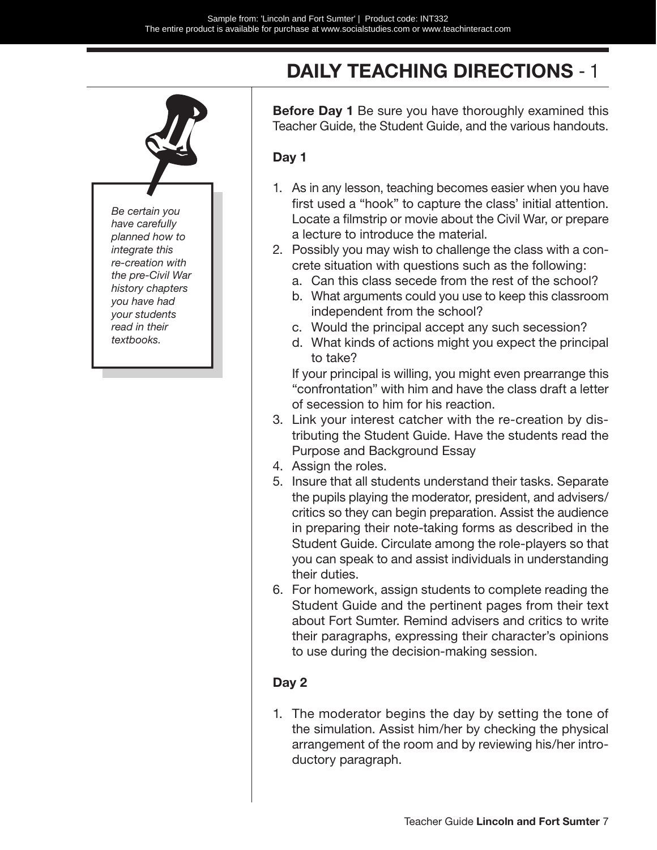

### **DAILY TEACHING DIRECTIONS** - 1

**Before Day 1** Be sure you have thoroughly examined this Teacher Guide, the Student Guide, and the various handouts.

#### **Day 1**

- 1. As in any lesson, teaching becomes easier when you have first used a "hook" to capture the class' initial attention. Locate a filmstrip or movie about the Civil War, or prepare a lecture to introduce the material.
- 2. Possibly you may wish to challenge the class with a concrete situation with questions such as the following:
	- a. Can this class secede from the rest of the school?
	- b. What arguments could you use to keep this classroom independent from the school?
	- c. Would the principal accept any such secession?
	- d. What kinds of actions might you expect the principal to take?

If your principal is willing, you might even prearrange this "confrontation" with him and have the class draft a letter of secession to him for his reaction.

- 3. Link your interest catcher with the re-creation by distributing the Student Guide. Have the students read the Purpose and Background Essay
- 4. Assign the roles.
- 5. Insure that all students understand their tasks. Separate the pupils playing the moderator, president, and advisers/ critics so they can begin preparation. Assist the audience in preparing their note-taking forms as described in the Student Guide. Circulate among the role-players so that you can speak to and assist individuals in understanding their duties.
- 6. For homework, assign students to complete reading the Student Guide and the pertinent pages from their text about Fort Sumter. Remind advisers and critics to write their paragraphs, expressing their character's opinions to use during the decision-making session.

#### **Day 2**

1. The moderator begins the day by setting the tone of the simulation. Assist him/her by checking the physical arrangement of the room and by reviewing his/her introductory paragraph.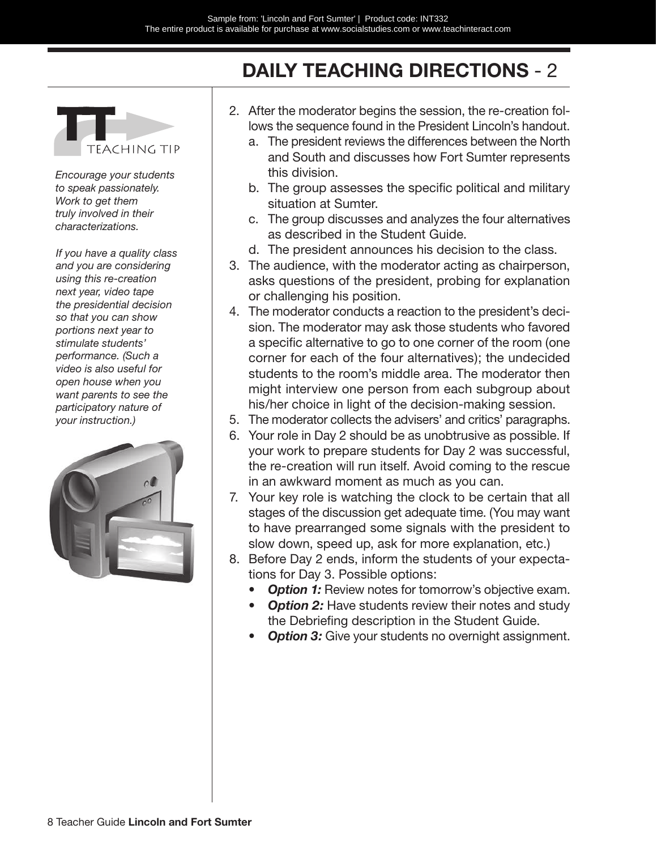### **DAILY TEACHING DIRECTIONS** - 2



*Encourage your students to speak passionately. Work to get them truly involved in their characterizations.*

*If you have a quality class and you are considering using this re-creation next year, video tape the presidential decision so that you can show portions next year to stimulate students' performance. (Such a video is also useful for open house when you want parents to see the participatory nature of your instruction.)*



- 2. After the moderator begins the session, the re-creation follows the sequence found in the President Lincoln's handout.
	- a. The president reviews the differences between the North and South and discusses how Fort Sumter represents this division.
	- b. The group assesses the specific political and military situation at Sumter.
	- c. The group discusses and analyzes the four alternatives as described in the Student Guide.
	- d. The president announces his decision to the class.
- 3. The audience, with the moderator acting as chairperson, asks questions of the president, probing for explanation or challenging his position.
- 4. The moderator conducts a reaction to the president's decision. The moderator may ask those students who favored a specific alternative to go to one corner of the room (one corner for each of the four alternatives); the undecided students to the room's middle area. The moderator then might interview one person from each subgroup about his/her choice in light of the decision-making session.
- 5. The moderator collects the advisers' and critics' paragraphs.
- 6. Your role in Day 2 should be as unobtrusive as possible. If your work to prepare students for Day 2 was successful, the re-creation will run itself. Avoid coming to the rescue in an awkward moment as much as you can.
- 7. Your key role is watching the clock to be certain that all stages of the discussion get adequate time. (You may want to have prearranged some signals with the president to slow down, speed up, ask for more explanation, etc.)
- 8. Before Day 2 ends, inform the students of your expectations for Day 3. Possible options:
	- **Option 1:** Review notes for tomorrow's objective exam.
	- **Option 2:** Have students review their notes and study the Debriefing description in the Student Guide.
	- **Option 3:** Give your students no overnight assignment.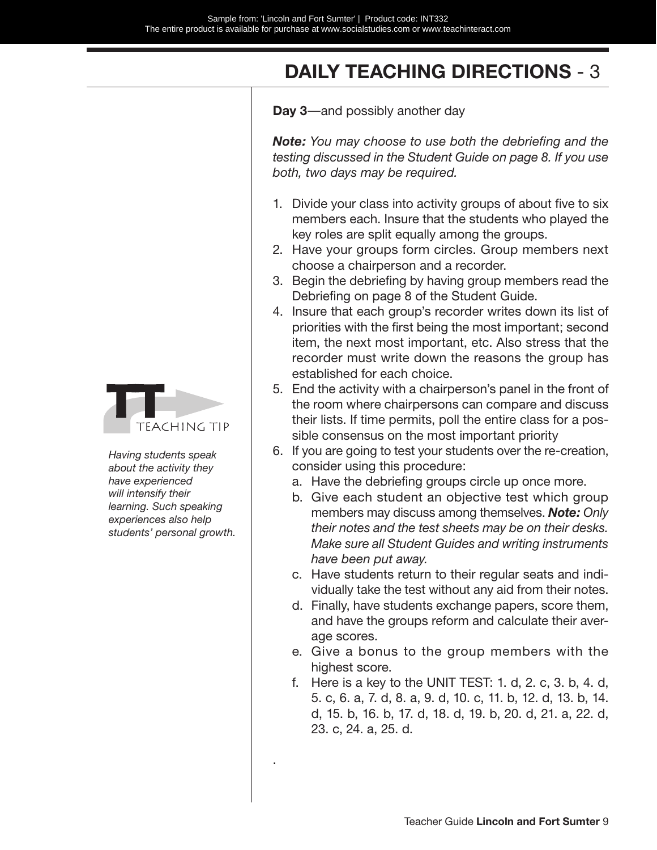### **DAILY TEACHING DIRECTIONS** - 3

**Day 3**—and possibly another day

*Note: You may choose to use both the debriefing and the testing discussed in the Student Guide on page 8. If you use both, two days may be required.*

- 1. Divide your class into activity groups of about five to six members each. Insure that the students who played the key roles are split equally among the groups.
- 2. Have your groups form circles. Group members next choose a chairperson and a recorder.
- 3. Begin the debriefing by having group members read the Debriefing on page 8 of the Student Guide.
- 4. Insure that each group's recorder writes down its list of priorities with the first being the most important; second item, the next most important, etc. Also stress that the recorder must write down the reasons the group has established for each choice.
- 5. End the activity with a chairperson's panel in the front of the room where chairpersons can compare and discuss their lists. If time permits, poll the entire class for a possible consensus on the most important priority
- 6. If you are going to test your students over the re-creation, consider using this procedure:
	- a. Have the debriefing groups circle up once more.
	- b. Give each student an objective test which group members may discuss among themselves. *Note: Only their notes and the test sheets may be on their desks. Make sure all Student Guides and writing instruments have been put away.*
	- c. Have students return to their regular seats and individually take the test without any aid from their notes.
	- d. Finally, have students exchange papers, score them, and have the groups reform and calculate their average scores.
	- e. Give a bonus to the group members with the highest score.
	- f. Here is a key to the UNIT TEST: 1. d, 2. c, 3. b, 4. d, 5. c, 6. a, 7. d, 8. a, 9. d, 10. c, 11. b, 12. d, 13. b, 14. d, 15. b, 16. b, 17. d, 18. d, 19. b, 20. d, 21. a, 22. d, 23. c, 24. a, 25. d.



*Having students speak about the activity they have experienced will intensify their learning. Such speaking experiences also help students' personal growth.*

.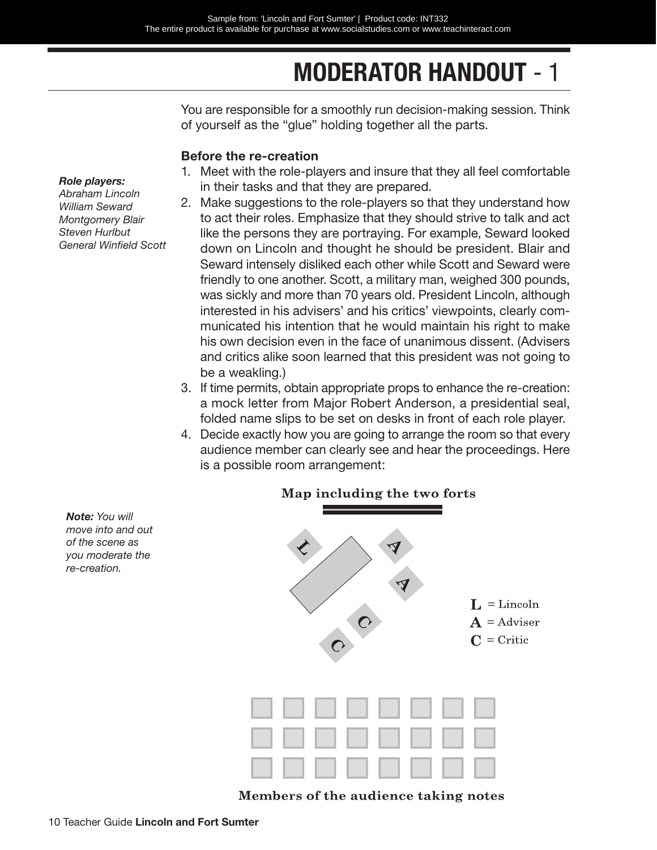## **MODERATOR HANDOUT** - 1

You are responsible for a smoothly run decision-making session. Think of yourself as the "glue" holding together all the parts.

#### **Before the re-creation**

- 1. Meet with the role-players and insure that they all feel comfortable in their tasks and that they are prepared.
- 2. Make suggestions to the role-players so that they understand how to act their roles. Emphasize that they should strive to talk and act like the persons they are portraying. For example, Seward looked down on Lincoln and thought he should be president. Blair and Seward intensely disliked each other while Scott and Seward were friendly to one another. Scott, a military man, weighed 300 pounds, was sickly and more than 70 years old. President Lincoln, although interested in his advisers' and his critics' viewpoints, clearly communicated his intention that he would maintain his right to make his own decision even in the face of unanimous dissent. (Advisers and critics alike soon learned that this president was not going to be a weakling.)
- 3. If time permits, obtain appropriate props to enhance the re-creation: a mock letter from Major Robert Anderson, a presidential seal, folded name slips to be set on desks in front of each role player.
- 4. Decide exactly how you are going to arrange the room so that every audience member can clearly see and hear the proceedings. Here is a possible room arrangement:



 $\mathbf{L} = \text{Linear}$  $A =$ Adviser  $C = \text{Critic}$ 

Members of the audience taking notes

*Role players:*

*Abraham Lincoln William Seward Montgomery Blair Steven Hurlbut General Winfield Scott*

*Note: You will move into and out of the scene as you moderate the re-creation.*